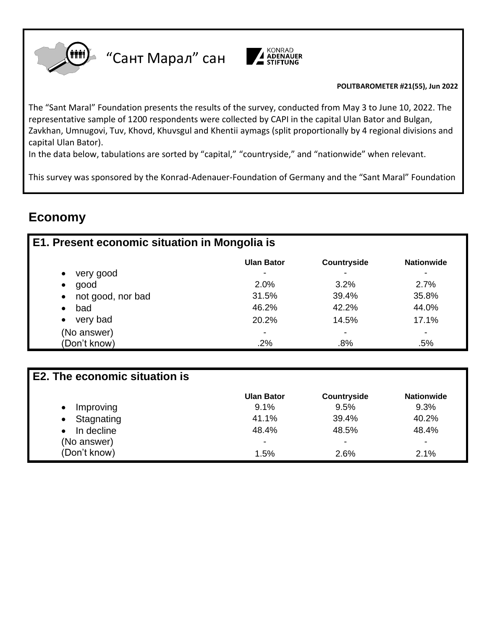

"Сант Марал" сан



#### **POLITBAROMETER 21(55), Jun 2022**

The "Sant Maral" Foundation presents the results of the survey, conducted from May 3 to June 10, 2022. The representative sample of 1200 respondents were collected by CAPI in the capital Ulan Bator and Bulgan, Zavkhan, Umnugovi, Tuv, Khovd, Khuvsgul and Khentii aymags (split proportionally by 4 regional divisions and capital Ulan Bator).

In the data below, tabulations are sorted by "capital," "countryside," and "nationwide" when relevant.

This survey was sponsored by the Konrad-Adenauer-Foundation of Germany and the "Sant Maral" Foundation

# **Economy**

| E1. Present economic situation in Mongolia is |                   |                    |                   |
|-----------------------------------------------|-------------------|--------------------|-------------------|
|                                               | <b>Ulan Bator</b> | <b>Countryside</b> | <b>Nationwide</b> |
| very good<br>$\bullet$                        |                   |                    | $\,$              |
| good<br>$\bullet$                             | 2.0%              | 3.2%               | 2.7%              |
| not good, nor bad<br>$\bullet$                | 31.5%             | 39.4%              | 35.8%             |
| bad<br>$\bullet$                              | 46.2%             | 42.2%              | 44.0%             |
| very bad<br>$\bullet$                         | 20.2%             | 14.5%              | 17.1%             |
| (No answer)                                   | ٠                 | -                  | $\,$              |
| (Don't know)                                  | .2%               | .8%                | .5%               |

| <b>E2. The economic situation is</b> |                          |                          |                   |
|--------------------------------------|--------------------------|--------------------------|-------------------|
|                                      | <b>Ulan Bator</b>        | <b>Countryside</b>       | <b>Nationwide</b> |
| Improving                            | 9.1%                     | 9.5%                     | 9.3%              |
| Stagnating<br>$\bullet$              | 41.1%                    | 39.4%                    | 40.2%             |
| In decline<br>$\bullet$              | 48.4%                    | 48.5%                    | 48.4%             |
| (No answer)                          | $\overline{\phantom{a}}$ | $\overline{\phantom{a}}$ |                   |
| (Don't know)                         | 1.5%                     | 2.6%                     | 2.1%              |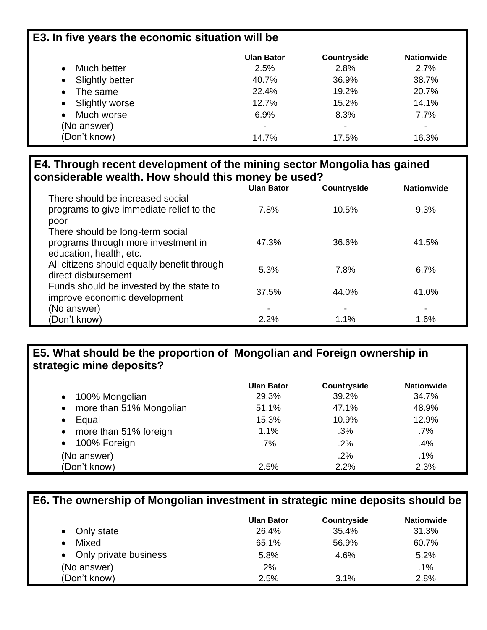# **E3. In five years the economic situation will be**

|                         | <b>Ulan Bator</b>        | Countryside              | <b>Nationwide</b>        |
|-------------------------|--------------------------|--------------------------|--------------------------|
| Much better             | 2.5%                     | 2.8%                     | 2.7%                     |
| Slightly better         | 40.7%                    | 36.9%                    | 38.7%                    |
| The same<br>$\bullet$   | 22.4%                    | 19.2%                    | 20.7%                    |
| • Slightly worse        | 12.7%                    | 15.2%                    | 14.1%                    |
| Much worse<br>$\bullet$ | 6.9%                     | 8.3%                     | 7.7%                     |
| (No answer)             | $\overline{\phantom{a}}$ | $\overline{\phantom{a}}$ | $\overline{\phantom{0}}$ |
| (Don't know)            | 14.7%                    | 17.5%                    | 16.3%                    |

### **E4. Through recent development of the mining sector Mongolia has gained considerable wealth. How should this money be used?**

|                                             | <b>Ulan Bator</b> | <b>Countryside</b> | <b>Nationwide</b> |
|---------------------------------------------|-------------------|--------------------|-------------------|
| There should be increased social            |                   |                    |                   |
| programs to give immediate relief to the    | 7.8%              | 10.5%              | 9.3%              |
| poor                                        |                   |                    |                   |
| There should be long-term social            |                   |                    |                   |
| programs through more investment in         | 47.3%             | 36.6%              | 41.5%             |
| education, health, etc.                     |                   |                    |                   |
| All citizens should equally benefit through | 5.3%              | 7.8%               | 6.7%              |
| direct disbursement                         |                   |                    |                   |
| Funds should be invested by the state to    | 37.5%             | 44.0%              | 41.0%             |
| improve economic development                |                   |                    |                   |
| (No answer)                                 | -                 |                    |                   |
| (Don't know)                                | 2.2%              | 1.1%               | 1.6%              |

## **E5. What should be the proportion of Mongolian and Foreign ownership in strategic mine deposits?**

|                                      | <b>Ulan Bator</b> | <b>Countryside</b> | <b>Nationwide</b> |
|--------------------------------------|-------------------|--------------------|-------------------|
| • 100% Mongolian                     | 29.3%             | 39.2%              | 34.7%             |
| more than 51% Mongolian<br>$\bullet$ | 51.1%             | 47.1%              | 48.9%             |
| Equal<br>$\bullet$                   | 15.3%             | 10.9%              | 12.9%             |
| • more than 51% foreign              | 1.1%              | .3%                | .7%               |
| 100% Foreign<br>$\bullet$            | $.7\%$            | .2%                | .4%               |
| (No answer)                          |                   | .2%                | .1%               |
| (Don't know)                         | 2.5%              | 2.2%               | 2.3%              |

# **E6. The ownership of Mongolian investment in strategic mine deposits should be**

|                         | <b>Ulan Bator</b> | Countryside | <b>Nationwide</b> |
|-------------------------|-------------------|-------------|-------------------|
| Only state<br>$\bullet$ | 26.4%             | 35.4%       | 31.3%             |
| Mixed                   | 65.1%             | 56.9%       | 60.7%             |
| • Only private business | 5.8%              | 4.6%        | 5.2%              |
| (No answer)             | $.2\%$            |             | .1%               |
| (Don't know)            | 2.5%              | 3.1%        | 2.8%              |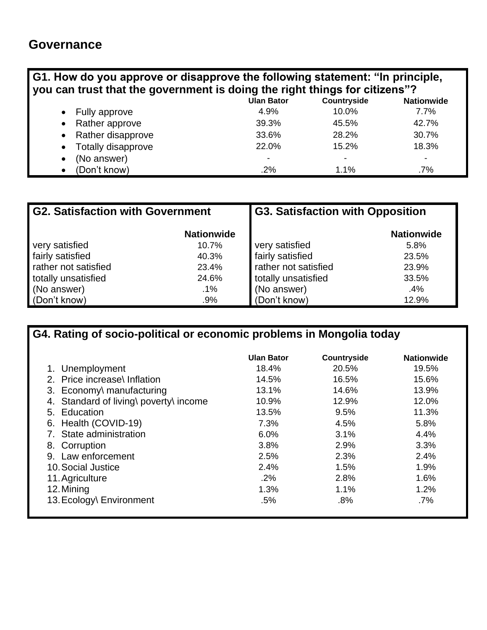# **Governance**

| G1. How do you approve or disapprove the following statement: "In principle,<br>you can trust that the government is doing the right things for citizens"? |                           |                   |             |                   |  |
|------------------------------------------------------------------------------------------------------------------------------------------------------------|---------------------------|-------------------|-------------|-------------------|--|
|                                                                                                                                                            |                           | <b>Ulan Bator</b> | Countryside | <b>Nationwide</b> |  |
| $\bullet$                                                                                                                                                  | Fully approve             | 4.9%              | 10.0%       | $7.7\%$           |  |
| $\bullet$                                                                                                                                                  | Rather approve            | 39.3%             | 45.5%       | 42.7%             |  |
| $\bullet$                                                                                                                                                  | Rather disapprove         | 33.6%             | 28.2%       | 30.7%             |  |
| $\bullet$                                                                                                                                                  | <b>Totally disapprove</b> | 22.0%             | 15.2%       | 18.3%             |  |
| $\bullet$                                                                                                                                                  | (No answer)               | ۰                 |             |                   |  |
| $\bullet$                                                                                                                                                  | (Don't know)              | $.2\%$            | 1.1%        | $.7\%$            |  |

| <b>G2. Satisfaction with Government</b> |                   | <b>G3. Satisfaction with Opposition</b> |                   |
|-----------------------------------------|-------------------|-----------------------------------------|-------------------|
|                                         | <b>Nationwide</b> |                                         | <b>Nationwide</b> |
| very satisfied                          | 10.7%             | very satisfied                          | 5.8%              |
| fairly satisfied                        | 40.3%             | fairly satisfied                        | 23.5%             |
| rather not satisfied                    | 23.4%             | rather not satisfied                    | 23.9%             |
| totally unsatisfied                     | 24.6%             | totally unsatisfied                     | 33.5%             |
| (No answer)                             | $.1\%$            | (No answer)                             | .4%               |
| (Don't know)                            | .9%               | (Don't know)                            | 12.9%             |

**G4. Rating of socio-political or economic problems in Mongolia today**

|                                        | <b>Ulan Bator</b> | Countryside | <b>Nationwide</b> |
|----------------------------------------|-------------------|-------------|-------------------|
| 1. Unemployment                        | 18.4%             | 20.5%       | 19.5%             |
| 2. Price increase\ Inflation           | 14.5%             | 16.5%       | 15.6%             |
| 3. Economy\ manufacturing              | 13.1%             | 14.6%       | 13.9%             |
| 4. Standard of living\ poverty\ income | 10.9%             | 12.9%       | 12.0%             |
| 5. Education                           | 13.5%             | 9.5%        | 11.3%             |
| Health (COVID-19)<br>6.                | 7.3%              | 4.5%        | 5.8%              |
| 7. State administration                | 6.0%              | 3.1%        | 4.4%              |
| 8. Corruption                          | 3.8%              | 2.9%        | 3.3%              |
| 9. Law enforcement                     | 2.5%              | 2.3%        | 2.4%              |
| 10. Social Justice                     | 2.4%              | 1.5%        | 1.9%              |
| 11. Agriculture                        | .2%               | 2.8%        | 1.6%              |
| 12. Mining                             | 1.3%              | 1.1%        | 1.2%              |
| 13. Ecology\ Environment               | .5%               | .8%         | $.7\%$            |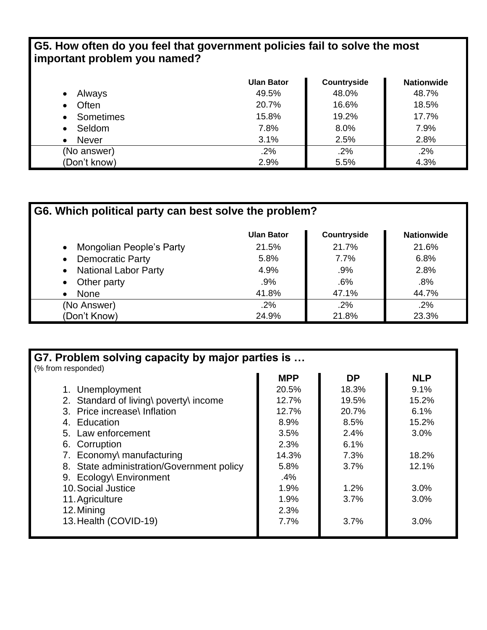### **G5. How often do you feel that government policies fail to solve the most important problem you named?**

|                           | <b>Ulan Bator</b> | Countryside | <b>Nationwide</b> |
|---------------------------|-------------------|-------------|-------------------|
| Always<br>$\bullet$       | 49.5%             | 48.0%       | 48.7%             |
| Often<br>$\bullet$        | 20.7%             | 16.6%       | 18.5%             |
| Sometimes                 | 15.8%             | 19.2%       | 17.7%             |
| Seldom<br>$\bullet$       | 7.8%              | 8.0%        | 7.9%              |
| <b>Never</b><br>$\bullet$ | 3.1%              | 2.5%        | 2.8%              |
| (No answer)               | .2%               | .2%         | .2%               |
| (Don't know)              | 2.9%              | 5.5%        | 4.3%              |

| G6. Which political party can best solve the problem? |                   |             |                   |  |
|-------------------------------------------------------|-------------------|-------------|-------------------|--|
|                                                       | <b>Ulan Bator</b> | Countryside | <b>Nationwide</b> |  |
| Mongolian People's Party                              | 21.5%             | 21.7%       | 21.6%             |  |
| <b>Democratic Party</b>                               | 5.8%              | $7.7\%$     | 6.8%              |  |
| <b>National Labor Party</b>                           | 4.9%              | .9%         | 2.8%              |  |
| Other party                                           | $.9\%$            | $.6\%$      | .8%               |  |
| None                                                  | 41.8%             | 47.1%       | 44.7%             |  |
| (No Answer)                                           | .2%               | .2%         | .2%               |  |
| (Don't Know)                                          | 24.9%             | 21.8%       | 23.3%             |  |

| G7. Problem solving capacity by major parties is |            |           |            |  |
|--------------------------------------------------|------------|-----------|------------|--|
| (% from responded)                               | <b>MPP</b> | <b>DP</b> | <b>NLP</b> |  |
|                                                  |            | 18.3%     | 9.1%       |  |
| 1. Unemployment                                  | 20.5%      |           |            |  |
| 2. Standard of living\ poverty\ income           | 12.7%      | 19.5%     | 15.2%      |  |
| 3. Price increase\ Inflation                     | 12.7%      | 20.7%     | 6.1%       |  |
| 4. Education                                     | 8.9%       | 8.5%      | 15.2%      |  |
| 5. Law enforcement                               | 3.5%       | 2.4%      | 3.0%       |  |
| 6. Corruption                                    | 2.3%       | 6.1%      |            |  |
| 7. Economy\ manufacturing                        | 14.3%      | 7.3%      | 18.2%      |  |
| 8. State administration/Government policy        | 5.8%       | 3.7%      | 12.1%      |  |
| 9. Ecology\ Environment                          | .4%        |           |            |  |
| 10. Social Justice                               | 1.9%       | 1.2%      | 3.0%       |  |
| 11. Agriculture                                  | 1.9%       | 3.7%      | 3.0%       |  |
| 12. Mining                                       | 2.3%       |           |            |  |
| 13. Health (COVID-19)                            | 7.7%       | 3.7%      | 3.0%       |  |
|                                                  |            |           |            |  |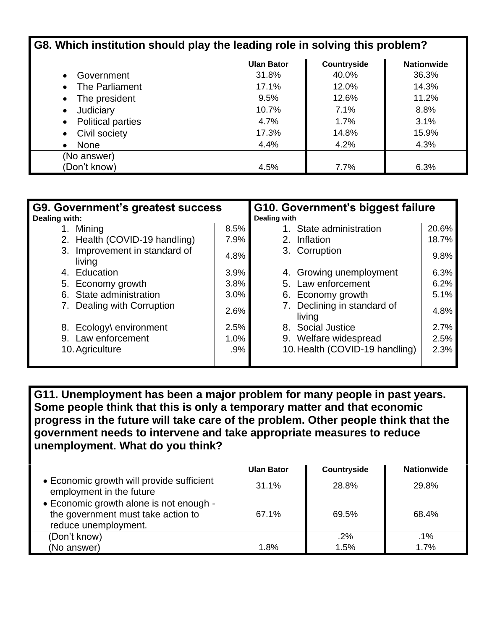| G8. Which institution should play the leading role in solving this problem? |                   |             |                   |
|-----------------------------------------------------------------------------|-------------------|-------------|-------------------|
|                                                                             | <b>Ulan Bator</b> | Countryside | <b>Nationwide</b> |
| Government                                                                  | 31.8%             | 40.0%       | 36.3%             |
| The Parliament                                                              | 17.1%             | 12.0%       | 14.3%             |
| The president                                                               | 9.5%              | 12.6%       | 11.2%             |
| Judiciary                                                                   | 10.7%             | 7.1%        | 8.8%              |
| <b>Political parties</b>                                                    | 4.7%              | 1.7%        | 3.1%              |
| Civil society                                                               | 17.3%             | 14.8%       | 15.9%             |
| None                                                                        | 4.4%              | 4.2%        | 4.3%              |
| (No answer)                                                                 |                   |             |                   |
| (Don't know)                                                                | 4.5%              | 7.7%        | 6.3%              |

| G9. Government's greatest success<br>Dealing with: |      | G10. Government's biggest failure<br>Dealing with |       |
|----------------------------------------------------|------|---------------------------------------------------|-------|
| 1. Mining                                          | 8.5% | 1. State administration                           | 20.6% |
| 2. Health (COVID-19 handling)                      | 7.9% | 2. Inflation                                      | 18.7% |
| 3. Improvement in standard of<br>living            | 4.8% | 3. Corruption                                     | 9.8%  |
| 4. Education                                       | 3.9% | 4. Growing unemployment                           | 6.3%  |
| 5. Economy growth                                  | 3.8% | 5. Law enforcement                                | 6.2%  |
| 6. State administration                            | 3.0% | 6. Economy growth                                 | 5.1%  |
| Dealing with Corruption                            | 2.6% | 7. Declining in standard of<br>living             | 4.8%  |
| 8. Ecology\ environment                            | 2.5% | 8. Social Justice                                 | 2.7%  |
| Law enforcement<br>9.                              | 1.0% | 9. Welfare widespread                             | 2.5%  |
| 10. Agriculture                                    | .9%  | 10. Health (COVID-19 handling)                    | 2.3%  |
|                                                    |      |                                                   |       |

**G11. Unemployment has been a major problem for many people in past years. Some people think that this is only a temporary matter and that economic progress in the future will take care of the problem. Other people think that the government needs to intervene and take appropriate measures to reduce unemployment. What do you think?**

|                                                                                                       | <b>Ulan Bator</b> | <b>Countryside</b> | <b>Nationwide</b> |
|-------------------------------------------------------------------------------------------------------|-------------------|--------------------|-------------------|
| • Economic growth will provide sufficient<br>employment in the future                                 | 31.1%             | 28.8%              | 29.8%             |
| • Economic growth alone is not enough -<br>the government must take action to<br>reduce unemployment. | 67.1%             | 69.5%              | 68.4%             |
| (Don't know)                                                                                          |                   | .2%                | .1%               |
| (No answer)                                                                                           | 1.8%              | 1.5%               | 1.7%              |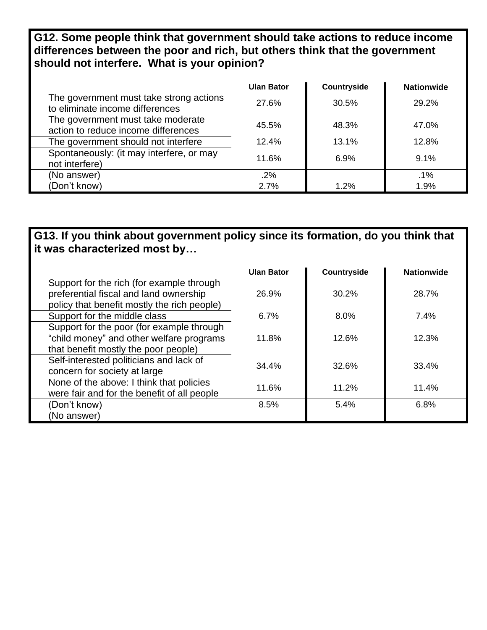**G12. Some people think that government should take actions to reduce income differences between the poor and rich, but others think that the government should not interfere. What is your opinion?**

|                                                                            | <b>Ulan Bator</b> | Countryside | <b>Nationwide</b> |
|----------------------------------------------------------------------------|-------------------|-------------|-------------------|
| The government must take strong actions<br>to eliminate income differences | 27.6%             | 30.5%       | 29.2%             |
| The government must take moderate<br>action to reduce income differences   | 45.5%             | 48.3%       | 47.0%             |
| The government should not interfere                                        | 12.4%             | 13.1%       | 12.8%             |
| Spontaneously: (it may interfere, or may<br>not interfere)                 | 11.6%             | 6.9%        | 9.1%              |
| (No answer)                                                                | .2%               |             | .1%               |
| (Don't know)                                                               | 2.7%              | 1.2%        | 1.9%              |

### **G13. If you think about government policy since its formation, do you think that it was characterized most by…**

|                                             | Ulan Bator | <b>Countryside</b> | <b>Nationwide</b> |
|---------------------------------------------|------------|--------------------|-------------------|
| Support for the rich (for example through   |            |                    |                   |
| preferential fiscal and land ownership      | 26.9%      | $30.2\%$           | 28.7%             |
| policy that benefit mostly the rich people) |            |                    |                   |
| Support for the middle class                | 6.7%       | $8.0\%$            | 7.4%              |
| Support for the poor (for example through   |            |                    |                   |
| "child money" and other welfare programs    | 11.8%      | 12.6%              | 12.3%             |
| that benefit mostly the poor people)        |            |                    |                   |
| Self-interested politicians and lack of     | 34.4%      | 32.6%              | 33.4%             |
| concern for society at large                |            |                    |                   |
| None of the above: I think that policies    | 11.6%      | 11.2%              | 11.4%             |
| were fair and for the benefit of all people |            |                    |                   |
| (Don't know)                                | 8.5%       | 5.4%               | 6.8%              |
| (No answer)                                 |            |                    |                   |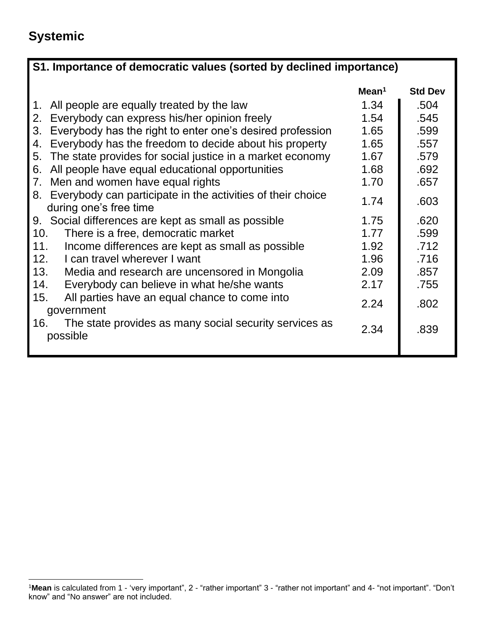# **Systemic**

| S1. Importance of democratic values (sorted by declined importance)                         |                   |                |  |
|---------------------------------------------------------------------------------------------|-------------------|----------------|--|
|                                                                                             | Mean <sup>1</sup> | <b>Std Dev</b> |  |
| All people are equally treated by the law<br>$1_{\cdot}$                                    | 1.34              | .504           |  |
| Everybody can express his/her opinion freely<br>2.                                          | 1.54              | .545           |  |
| Everybody has the right to enter one's desired profession<br>3.                             | 1.65              | .599           |  |
| Everybody has the freedom to decide about his property<br>4.                                | 1.65              | .557           |  |
| The state provides for social justice in a market economy<br>5.                             | 1.67              | .579           |  |
| All people have equal educational opportunities<br>6.                                       | 1.68              | .692           |  |
| Men and women have equal rights<br>7.                                                       | 1.70              | .657           |  |
| Everybody can participate in the activities of their choice<br>8.<br>during one's free time | 1.74              | .603           |  |
| 9.<br>Social differences are kept as small as possible                                      | 1.75              | .620           |  |
| 10.<br>There is a free, democratic market                                                   | 1.77              | .599           |  |
| 11.<br>Income differences are kept as small as possible                                     | 1.92              | .712           |  |
| 12.<br>I can travel wherever I want                                                         | 1.96              | .716           |  |
| 13.<br>Media and research are uncensored in Mongolia                                        | 2.09              | .857           |  |
| 14.<br>Everybody can believe in what he/she wants                                           | 2.17              | .755           |  |
| 15.<br>All parties have an equal chance to come into<br>government                          | 2.24              | .802           |  |
| 16.<br>The state provides as many social security services as<br>possible                   | 2.34              | .839           |  |
|                                                                                             |                   |                |  |

<sup>1</sup>**Mean** is calculated from 1 - 'very important", 2 - "rather important" 3 - "rather not important" and 4- "not important". "Don't know" and "No answer" are not included.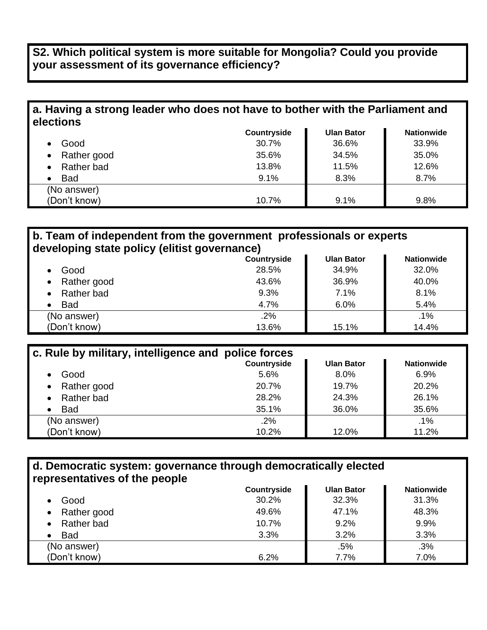### **S2. Which political system is more suitable for Mongolia? Could you provide your assessment of its governance efficiency?**

# **a. Having a strong leader who does not have to bother with the Parliament and elections**

|                          | Countryside | <b>Ulan Bator</b> | <b>Nationwide</b> |
|--------------------------|-------------|-------------------|-------------------|
| Good                     | 30.7%       | 36.6%             | 33.9%             |
| Rather good<br>$\bullet$ | 35.6%       | 34.5%             | 35.0%             |
| Rather bad               | 13.8%       | 11.5%             | 12.6%             |
| <b>Bad</b>               | 9.1%        | 8.3%              | 8.7%              |
| (No answer)              |             |                   |                   |
| (Don't know)             | 10.7%       | 9.1%              | 9.8%              |

#### **b. Team of independent from the government professionals or experts developing state policy (elitist governance)**

|                          | Countryside | <b>Ulan Bator</b> | <b>Nationwide</b> |
|--------------------------|-------------|-------------------|-------------------|
| Good<br>$\bullet$        | 28.5%       | 34.9%             | 32.0%             |
| Rather good<br>$\bullet$ | 43.6%       | 36.9%             | 40.0%             |
| Rather bad<br>$\bullet$  | 9.3%        | 7.1%              | 8.1%              |
| <b>Bad</b><br>٠          | 4.7%        | 6.0%              | 5.4%              |
| (No answer)              | .2%         |                   | .1%               |
| (Don't know)             | 13.6%       | 15.1%             | 14.4%             |

| c. Rule by military, intelligence and police forces |             |                   |                   |
|-----------------------------------------------------|-------------|-------------------|-------------------|
|                                                     | Countryside | <b>Ulan Bator</b> | <b>Nationwide</b> |
| Good<br>$\bullet$                                   | 5.6%        | 8.0%              | 6.9%              |
| • Rather good                                       | 20.7%       | 19.7%             | 20.2%             |
| Rather bad<br>$\bullet$                             | 28.2%       | 24.3%             | 26.1%             |
| <b>Bad</b><br>$\bullet$                             | 35.1%       | 36.0%             | 35.6%             |
| (No answer)                                         | .2%         |                   | .1%               |
| (Don't know)                                        | 10.2%       | 12.0%             | 11.2%             |

#### **d. Democratic system: governance through democratically elected representatives of the people**

|              | Countryside | <b>Ulan Bator</b> | <b>Nationwide</b> |
|--------------|-------------|-------------------|-------------------|
| Good         | 30.2%       | 32.3%             | 31.3%             |
| Rather good  | 49.6%       | 47.1%             | 48.3%             |
| Rather bad   | 10.7%       | 9.2%              | 9.9%              |
| <b>Bad</b>   | 3.3%        | 3.2%              | 3.3%              |
| (No answer)  |             | .5%               | .3%               |
| (Don't know) | 6.2%        | 7.7%              | 7.0%              |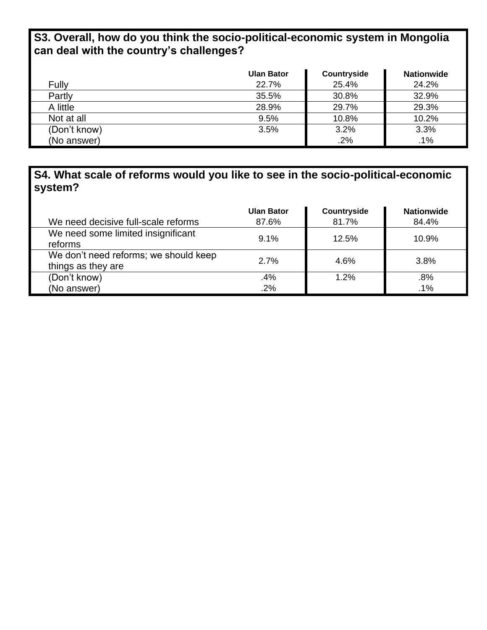# **S3. Overall, how do you think the socio-political-economic system in Mongolia can deal with the country's challenges?**

|              | <b>Ulan Bator</b> | Countryside | <b>Nationwide</b> |
|--------------|-------------------|-------------|-------------------|
| Fully        | 22.7%             | 25.4%       | 24.2%             |
| Partly       | 35.5%             | 30.8%       | 32.9%             |
| A little     | 28.9%             | 29.7%       | 29.3%             |
| Not at all   | 9.5%              | 10.8%       | 10.2%             |
| (Don't know) | 3.5%              | 3.2%        | 3.3%              |
| (No answer)  |                   | .2%         | .1%               |

# **S4. What scale of reforms would you like to see in the socio-political-economic system?**

| We need decisive full-scale reforms                         | <b>Ulan Bator</b><br>87.6% | Countryside<br>81.7% | <b>Nationwide</b><br>84.4% |
|-------------------------------------------------------------|----------------------------|----------------------|----------------------------|
| We need some limited insignificant<br>reforms               | 9.1%                       | 12.5%                | 10.9%                      |
| We don't need reforms; we should keep<br>things as they are | 2.7%                       | 4.6%                 | 3.8%                       |
| (Don't know)                                                | .4%                        | 1.2%                 | .8%                        |
| (No answer)                                                 | .2%                        |                      | .1%                        |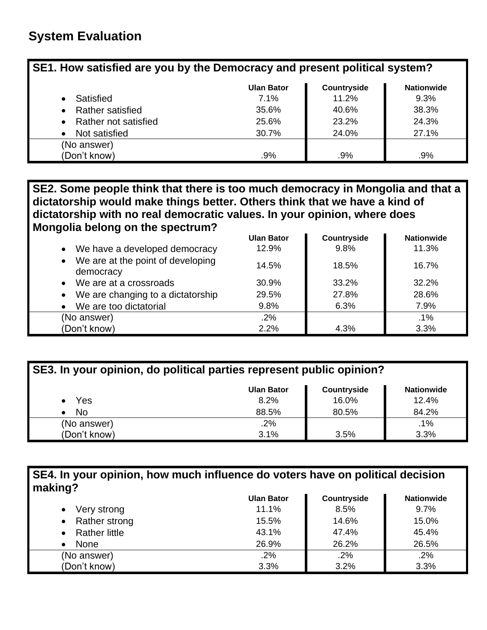| SE1. How satisfied are you by the Democracy and present political system? |                                                       |       |       |  |  |  |  |  |
|---------------------------------------------------------------------------|-------------------------------------------------------|-------|-------|--|--|--|--|--|
|                                                                           | Countryside<br><b>Ulan Bator</b><br><b>Nationwide</b> |       |       |  |  |  |  |  |
| Satisfied                                                                 | 7.1%                                                  | 11.2% | 9.3%  |  |  |  |  |  |
| <b>Rather satisfied</b>                                                   | 35.6%                                                 | 40.6% | 38.3% |  |  |  |  |  |
| Rather not satisfied                                                      | 25.6%                                                 | 23.2% | 24.3% |  |  |  |  |  |
| Not satisfied                                                             | 27.1%<br>24.0%<br>30.7%                               |       |       |  |  |  |  |  |
| (No answer)                                                               |                                                       |       |       |  |  |  |  |  |
| (Don't know)                                                              | .9%                                                   | .9%   | .9%   |  |  |  |  |  |

### **SE2. Some people think that there is too much democracy in Mongolia and that a dictatorship would make things better. Others think that we have a kind of dictatorship with no real democratic values. In your opinion, where does Mongolia belong on the spectrum?**

|                                                             | <b>Ulan Bator</b> | Countryside | <b>Nationwide</b> |
|-------------------------------------------------------------|-------------------|-------------|-------------------|
| • We have a developed democracy                             | 12.9%             | 9.8%        | 11.3%             |
| We are at the point of developing<br>$\bullet$<br>democracy | 14.5%             | 18.5%       | 16.7%             |
| We are at a crossroads<br>$\bullet$                         | 30.9%             | 33.2%       | 32.2%             |
| • We are changing to a dictatorship                         | 29.5%             | 27.8%       | 28.6%             |
| We are too dictatorial                                      | 9.8%              | 6.3%        | 7.9%              |
| (No answer)                                                 | .2%               |             | .1%               |
| (Don't know)                                                | 2.2%              | 4.3%        | 3.3%              |

| SE3. In your opinion, do political parties represent public opinion? |                   |             |                   |  |  |
|----------------------------------------------------------------------|-------------------|-------------|-------------------|--|--|
|                                                                      | <b>Ulan Bator</b> | Countryside | <b>Nationwide</b> |  |  |
| Yes                                                                  | 8.2%              | 16.0%       | 12.4%             |  |  |
| No                                                                   | 88.5%             | 80.5%       | 84.2%             |  |  |
| (No answer)                                                          | .2%               |             | .1%               |  |  |
| (Don't know)                                                         | 3.1%              | 3.5%        | 3.3%              |  |  |

### **SE4. In your opinion, how much influence do voters have on political decision making?**

|                            | <b>Ulan Bator</b> | Countryside | <b>Nationwide</b> |
|----------------------------|-------------------|-------------|-------------------|
| Very strong                | 11.1%             | 8.5%        | 9.7%              |
| Rather strong<br>$\bullet$ | 15.5%             | 14.6%       | 15.0%             |
| <b>Rather little</b>       | 43.1%             | 47.4%       | 45.4%             |
| None                       | 26.9%             | 26.2%       | 26.5%             |
| (No answer)                | $.2\%$            | .2%         | .2%               |
| (Don't know)               | 3.3%              | 3.2%        | 3.3%              |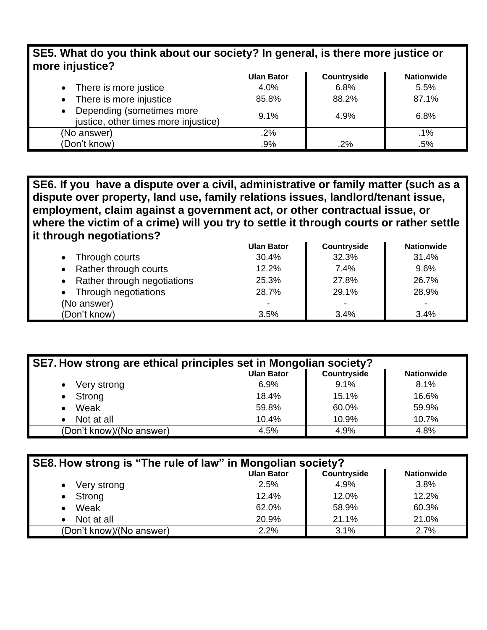| 323. What as you think about our society : in general, is there more justice or<br>more injustice? |                   |             |                   |  |  |
|----------------------------------------------------------------------------------------------------|-------------------|-------------|-------------------|--|--|
|                                                                                                    | <b>Ulan Bator</b> | Countryside | <b>Nationwide</b> |  |  |
| • There is more justice                                                                            | 4.0%              | 6.8%        | 5.5%              |  |  |
| There is more injustice<br>$\bullet$                                                               | 85.8%             | 88.2%       | 87.1%             |  |  |
| Depending (sometimes more<br>$\bullet$<br>justice, other times more injustice)                     | 9.1%              | 4.9%        | 6.8%              |  |  |
| (No answer)                                                                                        | .2%               |             | .1%               |  |  |
| (Don't know)                                                                                       | .9%               | .2%         | .5%               |  |  |

**SE5. What do you think about our society? In general, is there more justice or** 

**SE6. If you have a dispute over a civil, administrative or family matter (such as a dispute over property, land use, family relations issues, landlord/tenant issue, employment, claim against a government act, or other contractual issue, or where the victim of a crime) will you try to settle it through courts or rather settle it through negotiations?**

|                               | <b>Ulan Bator</b> | Countryside | <b>Nationwide</b>        |  |
|-------------------------------|-------------------|-------------|--------------------------|--|
| Through courts<br>$\bullet$   | 30.4%             | 32.3%       | 31.4%                    |  |
| • Rather through courts       | 12.2%             | 7.4%        | 9.6%                     |  |
| • Rather through negotiations | 25.3%             | 27.8%       | 26.7%                    |  |
| Through negotiations          | 28.7%             | 29.1%       | 28.9%                    |  |
| (No answer)                   | ۰                 |             | $\overline{\phantom{a}}$ |  |
| (Don't know)                  | 3.5%              | 3.4%        | 3.4%                     |  |

| SE7. How strong are ethical principles set in Mongolian society? |         |       |       |  |  |  |  |
|------------------------------------------------------------------|---------|-------|-------|--|--|--|--|
| Countryside<br><b>Ulan Bator</b><br><b>Nationwide</b>            |         |       |       |  |  |  |  |
| Very strong<br>$\bullet$                                         | $6.9\%$ | 9.1%  | 8.1%  |  |  |  |  |
| Strong<br>$\bullet$                                              | 18.4%   | 15.1% | 16.6% |  |  |  |  |
| Weak                                                             | 59.8%   | 60.0% | 59.9% |  |  |  |  |
| Not at all                                                       | 10.4%   | 10.9% | 10.7% |  |  |  |  |
| (Don't know)/(No answer)                                         | 4.5%    | 4.9%  | 4.8%  |  |  |  |  |

| SE8. How strong is "The rule of law" in Mongolian society? |                   |             |                   |  |  |
|------------------------------------------------------------|-------------------|-------------|-------------------|--|--|
|                                                            | <b>Ulan Bator</b> | Countryside | <b>Nationwide</b> |  |  |
| Very strong                                                | 2.5%              | 4.9%        | 3.8%              |  |  |
| Strong                                                     | 12.4%             | 12.0%       | 12.2%             |  |  |
| Weak<br>$\bullet$                                          | 62.0%             | 58.9%       | 60.3%             |  |  |
| Not at all                                                 | 20.9%             | 21.1%       | 21.0%             |  |  |
| (Don't know)/(No answer)                                   | 2.2%              | 3.1%        | 2.7%              |  |  |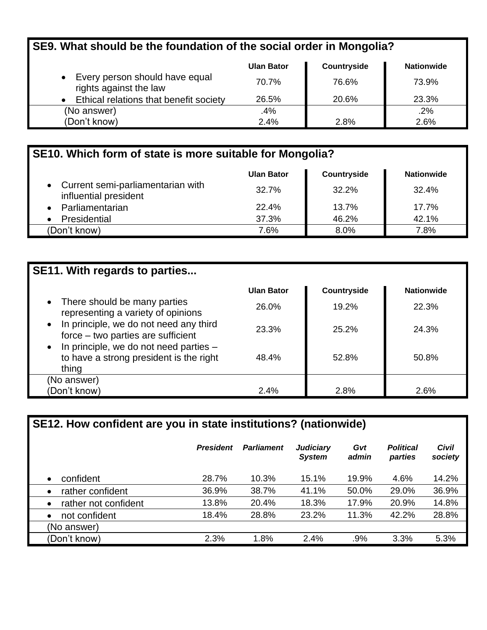# **SE9. What should be the foundation of the social order in Mongolia?**

|                                                          | <b>Ulan Bator</b> | Countryside | <b>Nationwide</b> |
|----------------------------------------------------------|-------------------|-------------|-------------------|
| Every person should have equal<br>rights against the law | 70.7%             | 76.6%       | 73.9%             |
| • Ethical relations that benefit society                 | 26.5%             | 20.6%       | 23.3%             |
| (No answer)                                              | .4%               |             | .2%               |
| (Don't know)                                             | 2.4%              | 2.8%        | 2.6%              |

| SE10. Which form of state is more suitable for Mongolia?     |                   |                    |                   |  |  |
|--------------------------------------------------------------|-------------------|--------------------|-------------------|--|--|
|                                                              | <b>Ulan Bator</b> | <b>Countryside</b> | <b>Nationwide</b> |  |  |
| • Current semi-parliamentarian with<br>influential president | 32.7%             | 32.2%              | 32.4%             |  |  |
| Parliamentarian                                              | 22.4%             | 13.7%              | 17.7%             |  |  |
| Presidential                                                 | 37.3%             | 46.2%              | 42.1%             |  |  |
| (Don't know)                                                 | 7.6%              | 8.0%               | 7.8%              |  |  |

| <b>SE11. With regards to parties</b>                                                                   |                   |             |                   |
|--------------------------------------------------------------------------------------------------------|-------------------|-------------|-------------------|
|                                                                                                        | <b>Ulan Bator</b> | Countryside | <b>Nationwide</b> |
| • There should be many parties<br>representing a variety of opinions                                   | 26.0%             | 19.2%       | 22.3%             |
| • In principle, we do not need any third<br>force – two parties are sufficient                         | 23.3%             | $25.2\%$    | 24.3%             |
| $\bullet$ In principle, we do not need parties $-$<br>to have a strong president is the right<br>thing | 48.4%             | 52.8%       | 50.8%             |
| (No answer)                                                                                            |                   |             |                   |
| (Don't know)                                                                                           | 2.4%              | 2.8%        | 2.6%              |

| SE12. How confident are you in state institutions? (nationwide) |                  |                   |                                   |              |                             |                         |
|-----------------------------------------------------------------|------------------|-------------------|-----------------------------------|--------------|-----------------------------|-------------------------|
|                                                                 | <b>President</b> | <b>Parliament</b> | <b>Judiciary</b><br><b>System</b> | Gvt<br>admin | <b>Political</b><br>parties | <b>Civil</b><br>society |
| confident<br>$\bullet$                                          | 28.7%            | 10.3%             | 15.1%                             | 19.9%        | 4.6%                        | 14.2%                   |
| rather confident<br>$\bullet$                                   | 36.9%            | 38.7%             | 41.1%                             | 50.0%        | 29.0%                       | 36.9%                   |
| rather not confident<br>$\bullet$                               | 13.8%            | 20.4%             | 18.3%                             | 17.9%        | 20.9%                       | 14.8%                   |
| not confident<br>$\bullet$                                      | 18.4%            | 28.8%             | 23.2%                             | 11.3%        | 42.2%                       | 28.8%                   |
| (No answer)                                                     |                  |                   |                                   |              |                             |                         |
| (Don't know)                                                    | 2.3%             | 1.8%              | 2.4%                              | .9%          | 3.3%                        | 5.3%                    |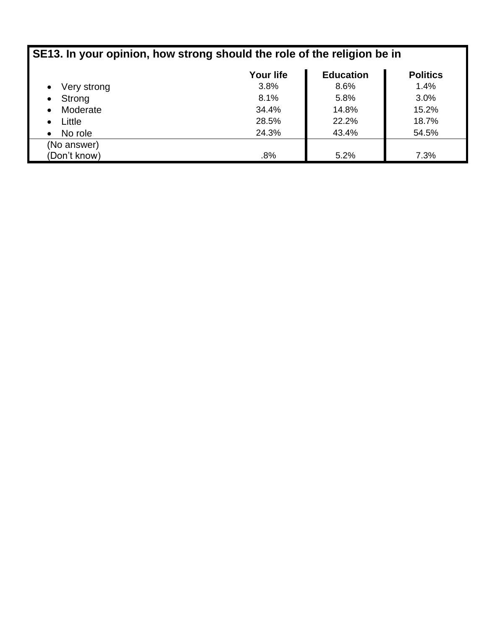| SE13. In your opinion, how strong should the role of the religion be in |                  |                  |                 |  |
|-------------------------------------------------------------------------|------------------|------------------|-----------------|--|
|                                                                         | <b>Your life</b> | <b>Education</b> | <b>Politics</b> |  |
| Very strong<br>$\bullet$                                                | 3.8%             | 8.6%             | 1.4%            |  |
| Strong<br>$\bullet$                                                     | 8.1%             | 5.8%             | 3.0%            |  |
| Moderate<br>$\bullet$                                                   | 34.4%            | 14.8%            | 15.2%           |  |
| Little<br>$\bullet$                                                     | 28.5%            | 22.2%            | 18.7%           |  |
| No role<br>$\bullet$                                                    | 24.3%            | 43.4%            | 54.5%           |  |
| (No answer)                                                             |                  |                  |                 |  |
| (Don't know)                                                            | .8%              | 5.2%             | 7.3%            |  |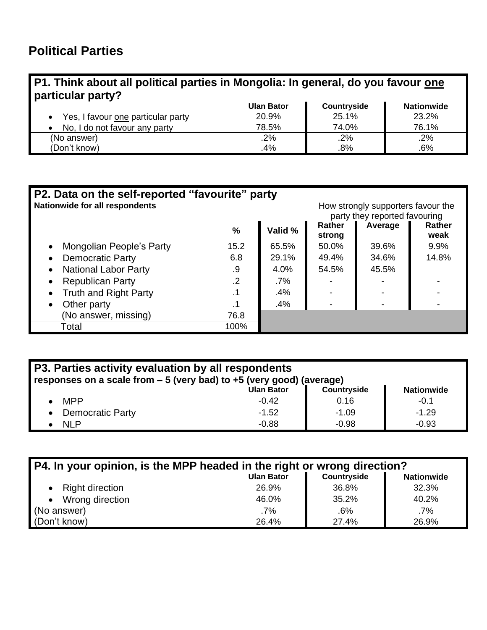### **P1. Think about all political parties in Mongolia: In general, do you favour one particular party?**

|                                    | <b>Ulan Bator</b> | Countryside | <b>Nationwide</b> |
|------------------------------------|-------------------|-------------|-------------------|
| Yes, I favour one particular party | 20.9%             | 25.1%       | 23.2%             |
| No, I do not favour any party      | 78.5%             | 74.0%       | 76.1%             |
| (No answer)                        | .2%               | .2%         | .2%               |
| (Don't know)                       | .4%               | .8%         | .6%               |

| P2. Data on the self-reported "favourite" party                      |               |         |        |                               |        |
|----------------------------------------------------------------------|---------------|---------|--------|-------------------------------|--------|
| Nationwide for all respondents<br>How strongly supporters favour the |               |         |        |                               |        |
|                                                                      |               |         |        | party they reported favouring |        |
|                                                                      | $\frac{9}{6}$ | Valid % | Rather | Average                       | Rather |
|                                                                      |               |         | strong |                               | weak   |
| Mongolian People's Party<br>$\bullet$                                | 15.2          | 65.5%   | 50.0%  | 39.6%                         | 9.9%   |
| <b>Democratic Party</b><br>$\bullet$                                 | 6.8           | 29.1%   | 49.4%  | 34.6%                         | 14.8%  |
| <b>National Labor Party</b><br>$\bullet$                             | .9            | 4.0%    | 54.5%  | 45.5%                         |        |
| <b>Republican Party</b><br>$\bullet$                                 | .2            | .7%     |        |                               |        |
| <b>Truth and Right Party</b><br>$\bullet$                            |               | .4%     |        |                               |        |
| Other party<br>$\bullet$                                             |               | .4%     |        |                               |        |
| (No answer, missing)                                                 | 76.8          |         |        |                               |        |
| Total                                                                | 100%          |         |        |                               |        |

| P3. Parties activity evaluation by all respondents<br>responses on a scale from $-5$ (very bad) to $+5$ (very good) (average) |                   |             |                   |  |  |
|-------------------------------------------------------------------------------------------------------------------------------|-------------------|-------------|-------------------|--|--|
|                                                                                                                               | <b>Ulan Bator</b> | Countryside | <b>Nationwide</b> |  |  |
| <b>MPP</b>                                                                                                                    | $-0.42$           | 0.16        | $-0.1$            |  |  |
| <b>Democratic Party</b><br>$\bullet$                                                                                          | $-1.52$           | $-1.09$     | $-1.29$           |  |  |
| <b>NLP</b>                                                                                                                    | $-0.88$           | $-0.98$     | $-0.93$           |  |  |

| P4. In your opinion, is the MPP headed in the right or wrong direction? |        |       |       |  |
|-------------------------------------------------------------------------|--------|-------|-------|--|
| Countryside<br><b>Ulan Bator</b><br><b>Nationwide</b>                   |        |       |       |  |
| <b>Right direction</b>                                                  | 26.9%  | 36.8% | 32.3% |  |
| Wrong direction                                                         | 46.0%  | 35.2% | 40.2% |  |
| (No answer)                                                             | $.7\%$ | .6%   | .7%   |  |
| (Don't know)                                                            | 26.4%  | 27.4% | 26.9% |  |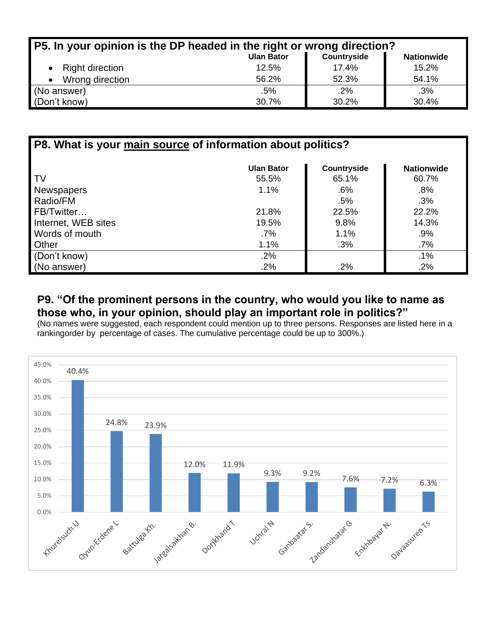| P5. In your opinion is the DP headed in the right or wrong direction? |                   |             |                   |  |  |
|-----------------------------------------------------------------------|-------------------|-------------|-------------------|--|--|
|                                                                       | <b>Ulan Bator</b> | Countryside | <b>Nationwide</b> |  |  |
| • Right direction                                                     | 12.5%             | 17.4%       | 15.2%             |  |  |
| Wrong direction                                                       | 56.2%             | 52.3%       | 54.1%             |  |  |
| (No answer)                                                           | .5%               | .2%         | .3%               |  |  |
| (Don't know)                                                          | 30.7%             | 30.2%       | 30.4%             |  |  |

| P8. What is your main source of information about politics? |                   |             |                   |  |  |
|-------------------------------------------------------------|-------------------|-------------|-------------------|--|--|
|                                                             | <b>Ulan Bator</b> | Countryside | <b>Nationwide</b> |  |  |
| TV                                                          | 55.5%             | 65.1%       | 60.7%             |  |  |
| <b>Newspapers</b>                                           | 1.1%              | $.6\%$      | .8%               |  |  |
| Radio/FM                                                    |                   | .5%         | .3%               |  |  |
| FB/Twitter                                                  | 21.8%             | 22.5%       | 22.2%             |  |  |
| Internet, WEB sites                                         | 19.5%             | 9.8%        | 14.3%             |  |  |
| Words of mouth                                              | $.7\%$            | 1.1%        | .9%               |  |  |
| Other                                                       | 1.1%              | .3%         | $.7\%$            |  |  |
| (Don't know)                                                | .2%               |             | $.1\%$            |  |  |
| (No answer)                                                 | .2%               | .2%         | .2%               |  |  |

### **P9. "Of the prominent persons in the country, who would you like to name as those who, in your opinion, should play an important role in politics?"**

(No names were suggested, each respondent could mention up to three persons. Responses are listed here in a rankingorder by percentage of cases. The cumulative percentage could be up to 300%.)

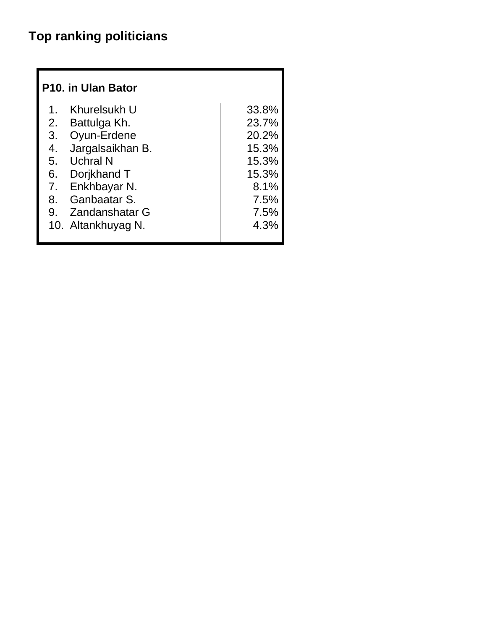# **Top ranking politicians**

|    | P <sub>10</sub> . in Ulan Bator |       |
|----|---------------------------------|-------|
| 1. | Khurelsukh U                    | 33.8% |
| 2. | Battulga Kh.                    | 23.7% |
| 3. | Oyun-Erdene                     | 20.2% |
| 4. | Jargalsaikhan B.                | 15.3% |
| 5. | <b>Uchral N</b>                 | 15.3% |
|    | 6. Dorjkhand T                  | 15.3% |
|    | 7. Enkhbayar N.                 | 8.1%  |
| 8. | Ganbaatar S.                    | 7.5%  |
| 9. | Zandanshatar G                  | 7.5%  |
|    | 10. Altankhuyag N.              | 4.3%  |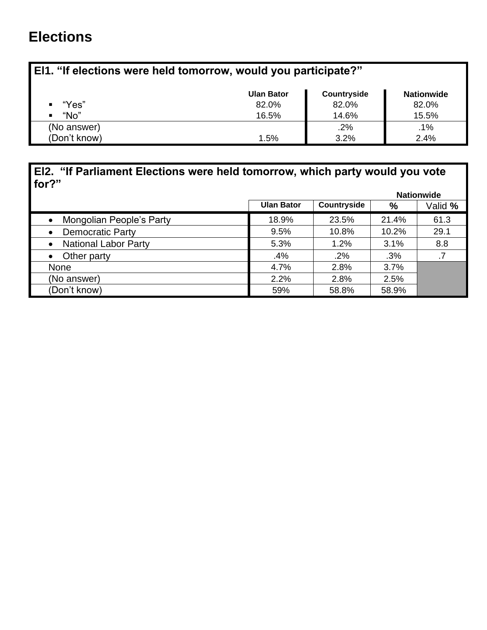# **Elections**

# **El1. "If elections were held tomorrow, would you participate?"**

|              | <b>Ulan Bator</b> | Countryside | <b>Nationwide</b> |
|--------------|-------------------|-------------|-------------------|
| "Yes"        | 82.0%             | 82.0%       | 82.0%             |
| "No"<br>п    | 16.5%             | 14.6%       | 15.5%             |
| (No answer)  |                   | $.2\%$      | .1%               |
| (Don't know) | 1.5%              | 3.2%        | 2.4%              |

### **El2. "If Parliament Elections were held tomorrow, which party would you vote for?"**

|                                          |                   |             |       | <b>Nationwide</b> |
|------------------------------------------|-------------------|-------------|-------|-------------------|
|                                          | <b>Ulan Bator</b> | Countryside | %     | Valid %           |
| Mongolian People's Party<br>$\bullet$    | 18.9%             | 23.5%       | 21.4% | 61.3              |
| <b>Democratic Party</b><br>$\bullet$     | 9.5%              | 10.8%       | 10.2% | 29.1              |
| <b>National Labor Party</b><br>$\bullet$ | 5.3%              | 1.2%        | 3.1%  | 8.8               |
| Other party<br>$\bullet$                 | .4%               | .2%         | .3%   |                   |
| <b>None</b>                              | 4.7%              | 2.8%        | 3.7%  |                   |
| (No answer)                              | 2.2%              | 2.8%        | 2.5%  |                   |
| (Don't know)                             | 59%               | 58.8%       | 58.9% |                   |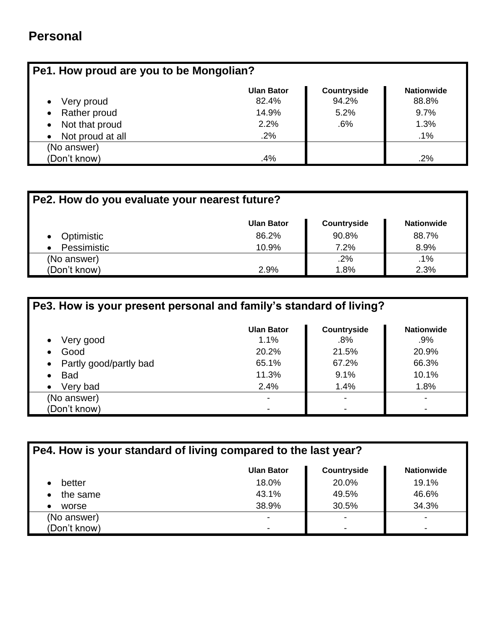# **Personal**

| Pe1. How proud are you to be Mongolian? |                   |             |                   |  |
|-----------------------------------------|-------------------|-------------|-------------------|--|
|                                         | <b>Ulan Bator</b> | Countryside | <b>Nationwide</b> |  |
| Very proud                              | 82.4%             | 94.2%       | 88.8%             |  |
| Rather proud                            | 14.9%             | 5.2%        | 9.7%              |  |
| Not that proud                          | 2.2%              | .6%         | 1.3%              |  |
| Not proud at all                        | .2%               |             | .1%               |  |
| (No answer)                             |                   |             |                   |  |
| (Don't know)                            | .4%               |             | .2%               |  |

| Pe2. How do you evaluate your nearest future? |                   |                    |                   |  |  |
|-----------------------------------------------|-------------------|--------------------|-------------------|--|--|
|                                               | <b>Ulan Bator</b> | <b>Countryside</b> | <b>Nationwide</b> |  |  |
| Optimistic<br>$\bullet$                       | 86.2%             | 90.8%              | 88.7%             |  |  |
| Pessimistic<br>$\bullet$                      | 10.9%             | 7.2%               | 8.9%              |  |  |
| (No answer)                                   |                   | .2%                | .1%               |  |  |
| (Don't know)                                  | 2.9%              | 1.8%               | 2.3%              |  |  |

| Pe3. How is your present personal and family's standard of living? |                   |                    |                          |
|--------------------------------------------------------------------|-------------------|--------------------|--------------------------|
|                                                                    | <b>Ulan Bator</b> | <b>Countryside</b> | <b>Nationwide</b>        |
| Very good<br>$\bullet$                                             | 1.1%              | $.8\%$             | $.9\%$                   |
| Good<br>$\bullet$                                                  | 20.2%             | 21.5%              | 20.9%                    |
| Partly good/partly bad<br>$\bullet$                                | 65.1%             | 67.2%              | 66.3%                    |
| <b>Bad</b>                                                         | 11.3%             | 9.1%               | 10.1%                    |
| Very bad<br>$\bullet$                                              | 2.4%              | 1.4%               | 1.8%                     |
| (No answer)                                                        |                   |                    | $\overline{\phantom{0}}$ |
| (Don't know)                                                       |                   |                    | -                        |

| Pe4. How is your standard of living compared to the last year? |                   |             |                          |
|----------------------------------------------------------------|-------------------|-------------|--------------------------|
|                                                                | <b>Ulan Bator</b> | Countryside | <b>Nationwide</b>        |
| better                                                         | 18.0%             | 20.0%       | 19.1%                    |
| the same                                                       | 43.1%             | 49.5%       | 46.6%                    |
| worse                                                          | 38.9%             | 30.5%       | 34.3%                    |
| (No answer)                                                    | -                 |             | $\overline{\phantom{0}}$ |
| (Don't know)                                                   |                   |             | $\overline{\phantom{0}}$ |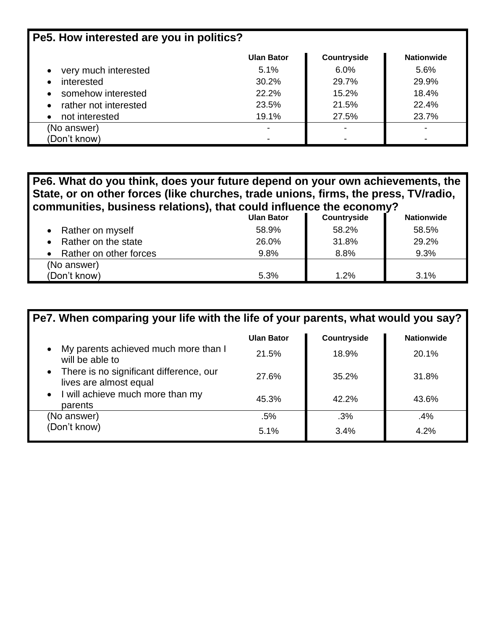| Pe5. How interested are you in politics? |                          |             |                   |  |
|------------------------------------------|--------------------------|-------------|-------------------|--|
|                                          | <b>Ulan Bator</b>        | Countryside | <b>Nationwide</b> |  |
| very much interested                     | 5.1%                     | $6.0\%$     | 5.6%              |  |
| interested                               | 30.2%                    | 29.7%       | 29.9%             |  |
| somehow interested<br>$\bullet$          | 22.2%                    | 15.2%       | 18.4%             |  |
| rather not interested<br>$\bullet$       | 23.5%                    | 21.5%       | 22.4%             |  |
| not interested<br>$\bullet$              | 19.1%                    | 27.5%       | 23.7%             |  |
| (No answer)                              | $\overline{\phantom{0}}$ |             | -                 |  |
| (Don't know)                             | $\,$                     |             |                   |  |

**Pe6. What do you think, does your future depend on your own achievements, the State, or on other forces (like churches, trade unions, firms, the press, TV/radio, communities, business relations), that could influence the economy?**

|                        | <b>Ulan Bator</b> | Countryside | <b>Nationwide</b> |
|------------------------|-------------------|-------------|-------------------|
| Rather on myself       | 58.9%             | 58.2%       | 58.5%             |
| Rather on the state    | 26.0%             | 31.8%       | 29.2%             |
| Rather on other forces | 9.8%              | 8.8%        | 9.3%              |
| (No answer)            |                   |             |                   |
| (Don't know)           | 5.3%              | 1.2%        | 3.1%              |

| Pe7. When comparing your life with the life of your parents, what would you say? |                   |             |                   |
|----------------------------------------------------------------------------------|-------------------|-------------|-------------------|
|                                                                                  | <b>Ulan Bator</b> | Countryside | <b>Nationwide</b> |
| My parents achieved much more than I<br>will be able to                          | 21.5%             | 18.9%       | 20.1%             |
| • There is no significant difference, our<br>lives are almost equal              | 27.6%             | 35.2%       | 31.8%             |
| • I will achieve much more than my<br>parents                                    | 45.3%             | 42.2%       | 43.6%             |
| (No answer)                                                                      | .5%               | .3%         | .4%               |
| (Don't know)                                                                     | 5.1%              | 3.4%        | 4.2%              |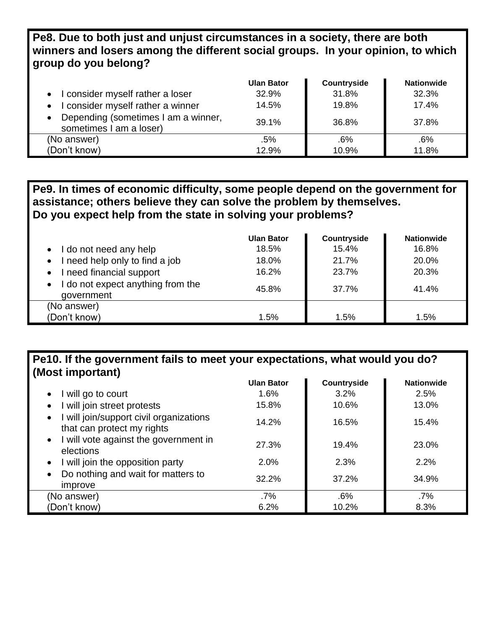### **Pe8. Due to both just and unjust circumstances in a society, there are both winners and losers among the different social groups. In your opinion, to which group do you belong?**

|                                                                             | <b>Ulan Bator</b> | Countryside | <b>Nationwide</b> |
|-----------------------------------------------------------------------------|-------------------|-------------|-------------------|
| I consider myself rather a loser<br>$\bullet$                               | 32.9%             | 31.8%       | 32.3%             |
| consider myself rather a winner<br>$\bullet$                                | 14.5%             | 19.8%       | 17.4%             |
| Depending (sometimes I am a winner,<br>$\bullet$<br>sometimes I am a loser) | 39.1%             | 36.8%       | 37.8%             |
| (No answer)                                                                 | .5%               | .6%         | .6%               |
| (Don't know)                                                                | 12.9%             | 10.9%       | 11.8%             |

### **Pe9. In times of economic difficulty, some people depend on the government for assistance; others believe they can solve the problem by themselves. Do you expect help from the state in solving your problems?**

|                                                              | <b>Ulan Bator</b> | Countryside | <b>Nationwide</b> |
|--------------------------------------------------------------|-------------------|-------------|-------------------|
| I do not need any help                                       | 18.5%             | 15.4%       | 16.8%             |
| need help only to find a job<br>$\bullet$                    | 18.0%             | 21.7%       | 20.0%             |
| I need financial support                                     | 16.2%             | 23.7%       | 20.3%             |
| I do not expect anything from the<br>$\bullet$<br>government | 45.8%             | 37.7%       | 41.4%             |
| (No answer)                                                  |                   |             |                   |
| (Don't know)                                                 | 1.5%              | 1.5%        | 1.5%              |

### **Pe10. If the government fails to meet your expectations, what would you do? (Most important)**

|                                                                                    | <b>Ulan Bator</b> | Countryside | <b>Nationwide</b> |
|------------------------------------------------------------------------------------|-------------------|-------------|-------------------|
| will go to court<br>$\bullet$                                                      | 1.6%              | 3.2%        | 2.5%              |
| I will join street protests<br>$\bullet$                                           | 15.8%             | 10.6%       | 13.0%             |
| I will join/support civil organizations<br>$\bullet$<br>that can protect my rights | 14.2%             | 16.5%       | 15.4%             |
| I will vote against the government in<br>$\bullet$<br>elections                    | 27.3%             | 19.4%       | 23.0%             |
| I will join the opposition party<br>$\bullet$                                      | 2.0%              | 2.3%        | 2.2%              |
| Do nothing and wait for matters to<br>$\bullet$<br>improve                         | 32.2%             | 37.2%       | 34.9%             |
| (No answer)                                                                        | $.7\%$            | .6%         | $.7\%$            |
| (Don't know)                                                                       | 6.2%              | 10.2%       | 8.3%              |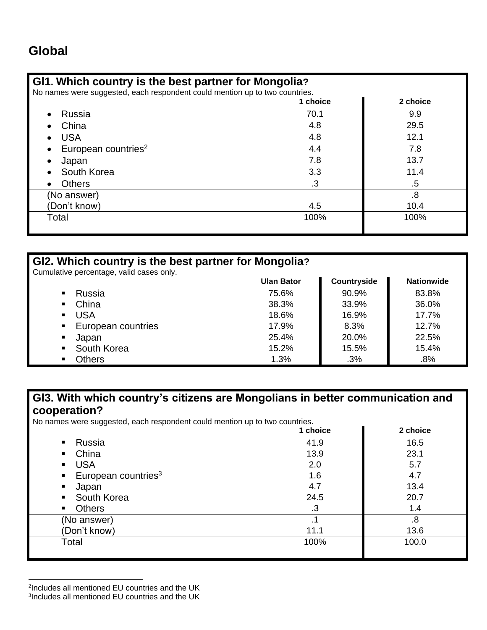### **Gl1. Which country is the best partner for Mongolia?**

No names were suggested, each respondent could mention up to two countries.

| 1 choice  | 2 choice |
|-----------|----------|
| 70.1      | 9.9      |
| 4.8       | 29.5     |
| 4.8       | 12.1     |
| 4.4       | 7.8      |
| 7.8       | 13.7     |
| 3.3       | 11.4     |
| $\cdot$ 3 | .5       |
|           | .8       |
| 4.5       | 10.4     |
| 100%      | 100%     |
|           |          |

| GI2. Which country is the best partner for Mongolia? |                   |             |                   |  |  |
|------------------------------------------------------|-------------------|-------------|-------------------|--|--|
| Cumulative percentage, valid cases only.             |                   |             |                   |  |  |
|                                                      | <b>Ulan Bator</b> | Countryside | <b>Nationwide</b> |  |  |
| Russia<br>٠                                          | 75.6%             | 90.9%       | 83.8%             |  |  |
| China<br>٠                                           | 38.3%             | 33.9%       | 36.0%             |  |  |
| <b>USA</b><br>$\blacksquare$                         | 18.6%             | 16.9%       | 17.7%             |  |  |
| European countries                                   | 17.9%             | 8.3%        | 12.7%             |  |  |
| Japan<br>٠                                           | 25.4%             | 20.0%       | 22.5%             |  |  |
| South Korea<br>п.                                    | 15.2%             | 15.5%       | 15.4%             |  |  |
| Others                                               | 1.3%              | .3%         | .8%               |  |  |

### **Gl3. With which country's citizens are Mongolians in better communication and cooperation?**

No names were suggested, each respondent could mention up to two countries.

|                                                | 1 choice  | 2 choice |
|------------------------------------------------|-----------|----------|
| Russia<br>$\mathbf{E}$ .                       | 41.9      | 16.5     |
| China<br>$\mathbf{m}$ and $\mathbf{m}$         | 13.9      | 23.1     |
| <b>USA</b>                                     | 2.0       | 5.7      |
| $\blacksquare$ European countries <sup>3</sup> | 1.6       | 4.7      |
| Japan<br>$\blacksquare$ .                      | 4.7       | 13.4     |
| • South Korea                                  | 24.5      | 20.7     |
| <b>Others</b><br>$\mathbf{E}(\mathbf{r})$      | $\cdot$ 3 | 1.4      |
| (No answer)                                    |           | .8       |
| (Don't know)                                   | 11.1      | 13.6     |
| Total                                          | 100%      | 100.0    |
|                                                |           |          |

<sup>3</sup> Includes all mentioned EU countries and the UK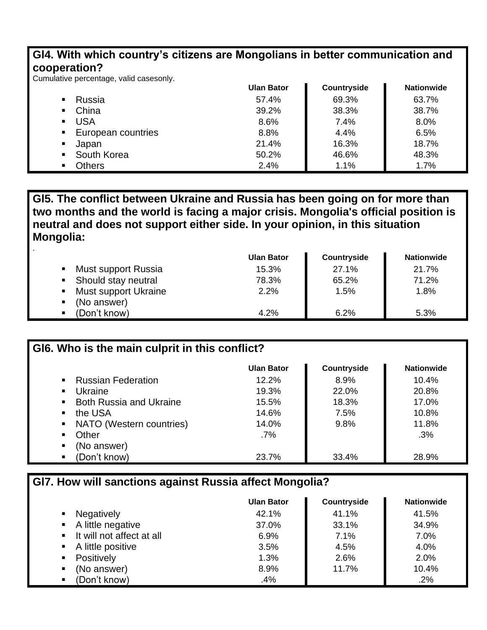### **Gl4. With which country's citizens are Mongolians in better communication and cooperation?**

Cumulative percentage, valid casesonly.

.

|                |                    | <b>Ulan Bator</b> | Countryside | <b>Nationwide</b> |
|----------------|--------------------|-------------------|-------------|-------------------|
|                | Russia             | 57.4%             | 69.3%       | 63.7%             |
| ٠              | China              | 39.2%             | 38.3%       | 38.7%             |
|                | USA                | 8.6%              | 7.4%        | 8.0%              |
| $\blacksquare$ | European countries | 8.8%              | 4.4%        | 6.5%              |
|                | Japan              | 21.4%             | 16.3%       | 18.7%             |
| $\blacksquare$ | South Korea        | 50.2%             | 46.6%       | 48.3%             |
|                | Others             | 2.4%              | 1.1%        | 1.7%              |

**Gl5. The conflict between Ukraine and Russia has been going on for more than two months and the world is facing a major crisis. Mongolia's official position is neutral and does not support either side. In your opinion, in this situation Mongolia:**

|                                       | <b>Ulan Bator</b> | Countryside | <b>Nationwide</b> |
|---------------------------------------|-------------------|-------------|-------------------|
| Must support Russia<br>п              | 15.3%             | 27.1%       | 21.7%             |
| Should stay neutral<br>$\blacksquare$ | 78.3%             | 65.2%       | 71.2%             |
| <b>Must support Ukraine</b><br>п      | 2.2%              | 1.5%        | 1.8%              |
| (No answer)                           |                   |             |                   |
| (Don't know)                          | 4.2%              | 6.2%        | 5.3%              |

| GI6. Who is the main culprit in this conflict?   |                   |                    |                   |
|--------------------------------------------------|-------------------|--------------------|-------------------|
|                                                  | <b>Ulan Bator</b> | <b>Countryside</b> | <b>Nationwide</b> |
| <b>Russian Federation</b><br>$\blacksquare$      | 12.2%             | 8.9%               | 10.4%             |
| Ukraine<br>$\blacksquare$                        | 19.3%             | 22.0%              | 20.8%             |
| <b>Both Russia and Ukraine</b><br>$\blacksquare$ | 15.5%             | 18.3%              | 17.0%             |
| the USA<br>$\blacksquare$                        | 14.6%             | 7.5%               | 10.8%             |
| NATO (Western countries)<br>$\blacksquare$       | 14.0%             | 9.8%               | 11.8%             |
| Other<br>$\blacksquare$                          | .7%               |                    | .3%               |
| (No answer)<br>п                                 |                   |                    |                   |
| (Don't know)                                     | 23.7%             | 33.4%              | 28.9%             |

#### **Gl7. How will sanctions against Russia affect Mongolia?**

|                                     | <b>Ulan Bator</b> | Countryside | <b>Nationwide</b> |
|-------------------------------------|-------------------|-------------|-------------------|
| <b>Negatively</b><br>$\blacksquare$ | 42.1%             | 41.1%       | 41.5%             |
| • A little negative                 | 37.0%             | 33.1%       | 34.9%             |
| ■ It will not affect at all         | 6.9%              | 7.1%        | 7.0%              |
| • A little positive                 | 3.5%              | 4.5%        | 4.0%              |
| Positively<br>$\blacksquare$        | 1.3%              | 2.6%        | 2.0%              |
| (No answer)<br>$\blacksquare$       | 8.9%              | 11.7%       | 10.4%             |
| (Don't know)<br>٠                   | .4%               |             | .2%               |